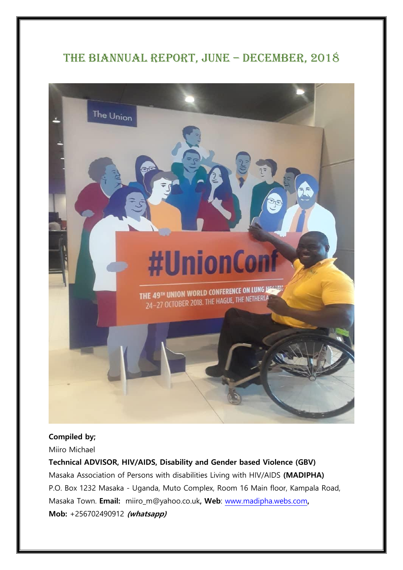# THE BIANNUAL REPORT, JUNE - DECEMBER, 2018



#### **Compiled by;**

Miiro Michael

#### **Technical ADVISOR, HIV/AIDS, Disability and Gender based Violence (GBV)**

Masaka Association of Persons with disabilities Living with HIV/AIDS **(MADIPHA)** P.O. Box 1232 Masaka - Uganda, Muto Complex, Room 16 Main floor, Kampala Road, Masaka Town. **Email:** miiro\_m@yahoo.co.uk**, Web**: [www.madipha.webs.com](http://www.madipha.webs.com/)**, Mob:** +256702490912 **(whatsapp)**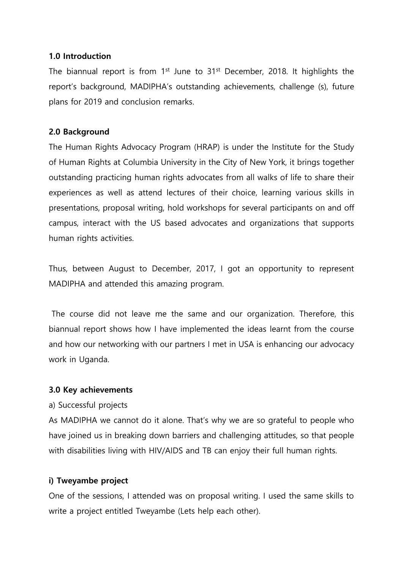#### **1.0 Introduction**

The biannual report is from  $1<sup>st</sup>$  June to  $31<sup>st</sup>$  December, 2018. It highlights the report's background, MADIPHA's outstanding achievements, challenge (s), future plans for 2019 and conclusion remarks.

#### **2.0 Background**

The Human Rights Advocacy Program (HRAP) is under the Institute for the Study of Human Rights at Columbia University in the City of New York, it brings together outstanding practicing human rights advocates from all walks of life to share their experiences as well as attend lectures of their choice, learning various skills in presentations, proposal writing, hold workshops for several participants on and off campus, interact with the US based advocates and organizations that supports human rights activities.

Thus, between August to December, 2017, I got an opportunity to represent MADIPHA and attended this amazing program.

The course did not leave me the same and our organization. Therefore, this biannual report shows how I have implemented the ideas learnt from the course and how our networking with our partners I met in USA is enhancing our advocacy work in Uganda.

#### **3.0 Key achievements**

#### a) Successful projects

As MADIPHA we cannot do it alone. That's why we are so grateful to people who have joined us in breaking down barriers and challenging attitudes, so that people with disabilities living with HIV/AIDS and TB can enjoy their full human rights.

### **i) Tweyambe project**

One of the sessions, I attended was on proposal writing. I used the same skills to write a project entitled Tweyambe (Lets help each other).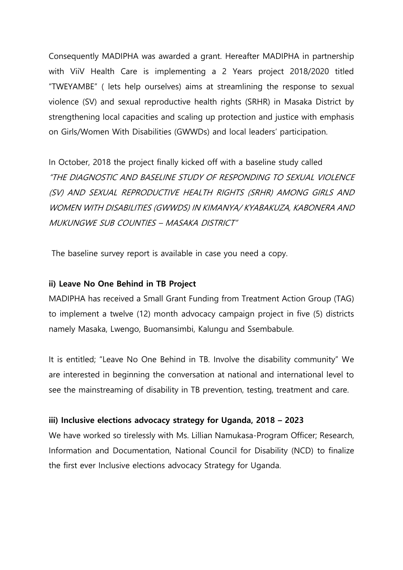Consequently MADIPHA was awarded a grant. Hereafter MADIPHA in partnership with ViiV Health Care is implementing a 2 Years project 2018/2020 titled "TWEYAMBE" ( lets help ourselves) aims at streamlining the response to sexual violence (SV) and sexual reproductive health rights (SRHR) in Masaka District by strengthening local capacities and scaling up protection and justice with emphasis on Girls/Women With Disabilities (GWWDs) and local leaders' participation.

In October, 2018 the project finally kicked off with a baseline study called "THE DIAGNOSTIC AND BASELINE STUDY OF RESPONDING TO SEXUAL VIOLENCE (SV) AND SEXUAL REPRODUCTIVE HEALTH RIGHTS (SRHR) AMONG GIRLS AND WOMEN WITH DISABILITIES (GWWDS) IN KIMANYA/ KYABAKUZA, KABONERA AND MUKUNGWE SUB COUNTIES – MASAKA DISTRICT"

The baseline survey report is available in case you need a copy.

#### **ii) Leave No One Behind in TB Project**

MADIPHA has received a Small Grant Funding from Treatment Action Group (TAG) to implement a twelve (12) month advocacy campaign project in five (5) districts namely Masaka, Lwengo, Buomansimbi, Kalungu and Ssembabule.

It is entitled; "Leave No One Behind in TB. Involve the disability community" We are interested in beginning the conversation at national and international level to see the mainstreaming of disability in TB prevention, testing, treatment and care.

#### **iii) Inclusive elections advocacy strategy for Uganda, 2018 – 2023**

We have worked so tirelessly with Ms. Lillian Namukasa-Program Officer; Research, Information and Documentation, National Council for Disability (NCD) to finalize the first ever Inclusive elections advocacy Strategy for Uganda.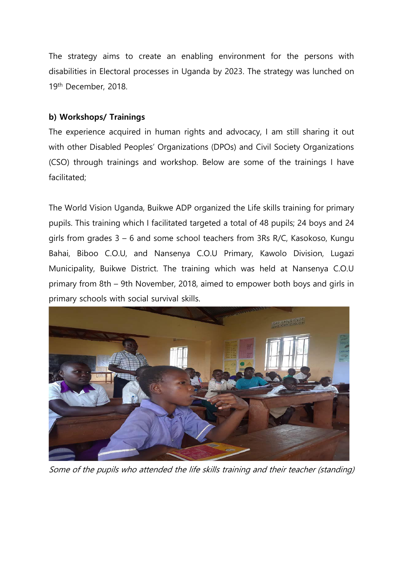The strategy aims to create an enabling environment for the persons with disabilities in Electoral processes in Uganda by 2023. The strategy was lunched on 19th December, 2018.

### **b) Workshops/ Trainings**

The experience acquired in human rights and advocacy, I am still sharing it out with other Disabled Peoples' Organizations (DPOs) and Civil Society Organizations (CSO) through trainings and workshop. Below are some of the trainings I have facilitated;

The World Vision Uganda, Buikwe ADP organized the Life skills training for primary pupils. This training which I facilitated targeted a total of 48 pupils; 24 boys and 24 girls from grades 3 – 6 and some school teachers from 3Rs R/C, Kasokoso, Kungu Bahai, Biboo C.O.U, and Nansenya C.O.U Primary, Kawolo Division, Lugazi Municipality, Buikwe District. The training which was held at Nansenya C.O.U primary from 8th – 9th November, 2018, aimed to empower both boys and girls in primary schools with social survival skills.



Some of the pupils who attended the life skills training and their teacher (standing)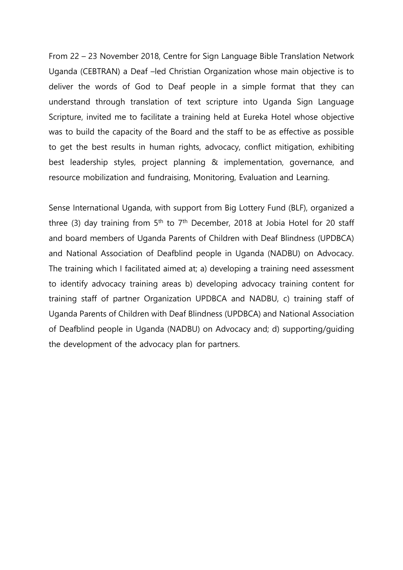From 22 – 23 November 2018, Centre for Sign Language Bible Translation Network Uganda (CEBTRAN) a Deaf –led Christian Organization whose main objective is to deliver the words of God to Deaf people in a simple format that they can understand through translation of text scripture into Uganda Sign Language Scripture, invited me to facilitate a training held at Eureka Hotel whose objective was to build the capacity of the Board and the staff to be as effective as possible to get the best results in human rights, advocacy, conflict mitigation, exhibiting best leadership styles, project planning & implementation, governance, and resource mobilization and fundraising, Monitoring, Evaluation and Learning.

Sense International Uganda, with support from Big Lottery Fund (BLF), organized a three (3) day training from  $5<sup>th</sup>$  to  $7<sup>th</sup>$  December, 2018 at Jobia Hotel for 20 staff and board members of Uganda Parents of Children with Deaf Blindness (UPDBCA) and National Association of Deafblind people in Uganda (NADBU) on Advocacy. The training which I facilitated aimed at; a) developing a training need assessment to identify advocacy training areas b) developing advocacy training content for training staff of partner Organization UPDBCA and NADBU, c) training staff of Uganda Parents of Children with Deaf Blindness (UPDBCA) and National Association of Deafblind people in Uganda (NADBU) on Advocacy and; d) supporting/guiding the development of the advocacy plan for partners.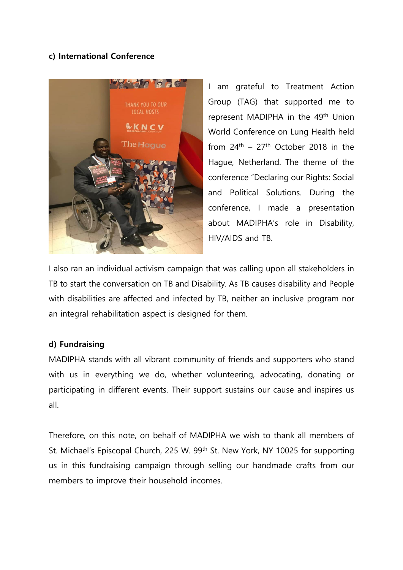#### **c) International Conference**



I am grateful to Treatment Action Group (TAG) that supported me to represent MADIPHA in the 49<sup>th</sup> Union World Conference on Lung Health held from  $24<sup>th</sup> - 27<sup>th</sup>$  October 2018 in the Hague, Netherland. The theme of the conference "Declaring our Rights: Social and Political Solutions. During the conference, I made a presentation about MADIPHA's role in Disability, HIV/AIDS and TB.

I also ran an individual activism campaign that was calling upon all stakeholders in TB to start the conversation on TB and Disability. As TB causes disability and People with disabilities are affected and infected by TB, neither an inclusive program nor an integral rehabilitation aspect is designed for them.

#### **d) Fundraising**

MADIPHA stands with all vibrant community of friends and supporters who stand with us in everything we do, whether volunteering, advocating, donating or participating in different events. Their support sustains our cause and inspires us all.

Therefore, on this note, on behalf of MADIPHA we wish to thank all members of St. Michael's Episcopal Church, 225 W. 99<sup>th</sup> St. New York, NY 10025 for supporting us in this fundraising campaign through selling our handmade crafts from our members to improve their household incomes.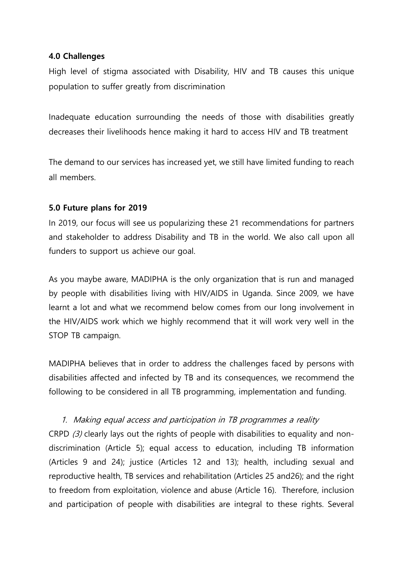#### **4.0 Challenges**

High level of stigma associated with Disability, HIV and TB causes this unique population to suffer greatly from discrimination

Inadequate education surrounding the needs of those with disabilities greatly decreases their livelihoods hence making it hard to access HIV and TB treatment

The demand to our services has increased yet, we still have limited funding to reach all members.

#### **5.0 Future plans for 2019**

In 2019, our focus will see us popularizing these 21 recommendations for partners and stakeholder to address Disability and TB in the world. We also call upon all funders to support us achieve our goal.

As you maybe aware, MADIPHA is the only organization that is run and managed by people with disabilities living with HIV/AIDS in Uganda. Since 2009, we have learnt a lot and what we recommend below comes from our long involvement in the HIV/AIDS work which we highly recommend that it will work very well in the STOP TB campaign.

MADIPHA believes that in order to address the challenges faced by persons with disabilities affected and infected by TB and its consequences, we recommend the following to be considered in all TB programming, implementation and funding.

### 1. Making equal access and participation in TB programmes a reality

CRPD  $(3)$  clearly lays out the rights of people with disabilities to equality and nondiscrimination (Article 5); equal access to education, including TB information (Articles 9 and 24); justice (Articles 12 and 13); health, including sexual and reproductive health, TB services and rehabilitation (Articles 25 and26); and the right to freedom from exploitation, violence and abuse (Article 16). Therefore, inclusion and participation of people with disabilities are integral to these rights. Several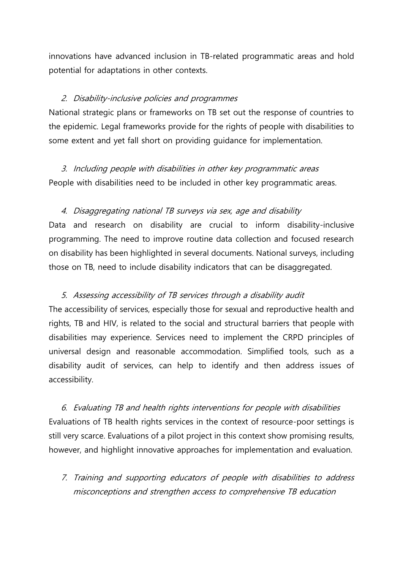innovations have advanced inclusion in TB-related programmatic areas and hold potential for adaptations in other contexts.

#### 2. Disability-inclusive policies and programmes

National strategic plans or frameworks on TB set out the response of countries to the epidemic. Legal frameworks provide for the rights of people with disabilities to some extent and yet fall short on providing guidance for implementation.

3. Including people with disabilities in other key programmatic areas People with disabilities need to be included in other key programmatic areas.

#### 4. Disaggregating national TB surveys via sex, age and disability

Data and research on disability are crucial to inform disability-inclusive programming. The need to improve routine data collection and focused research on disability has been highlighted in several documents. National surveys, including those on TB, need to include disability indicators that can be disaggregated.

### 5. Assessing accessibility of TB services through a disability audit

The accessibility of services, especially those for sexual and reproductive health and rights, TB and HIV, is related to the social and structural barriers that people with disabilities may experience. Services need to implement the CRPD principles of universal design and reasonable accommodation. Simplified tools, such as a disability audit of services, can help to identify and then address issues of accessibility.

6. Evaluating TB and health rights interventions for people with disabilities Evaluations of TB health rights services in the context of resource-poor settings is still very scarce. Evaluations of a pilot project in this context show promising results, however, and highlight innovative approaches for implementation and evaluation.

7. Training and supporting educators of people with disabilities to address misconceptions and strengthen access to comprehensive TB education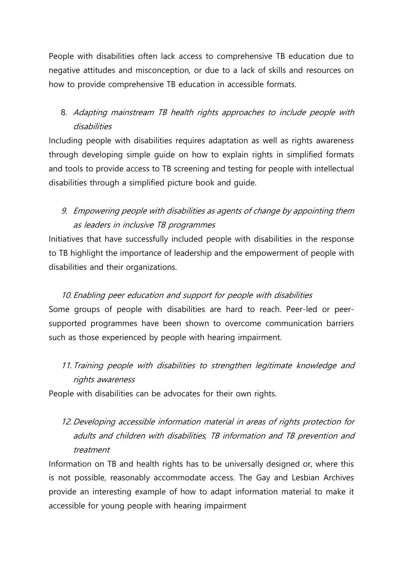People with disabilities often lack access to comprehensive TB education due to negative attitudes and misconception, or due to a lack of skills and resources on how to provide comprehensive TB education in accessible formats.

## 8. Adapting mainstream TB health rights approaches to include people with disabilities

Including people with disabilities requires adaptation as well as rights awareness through developing simple guide on how to explain rights in simplified formats and tools to provide access to TB screening and testing for people with intellectual disabilities through a simplified picture book and guide.

## 9. Empowering people with disabilities as agents of change by appointing them as leaders in inclusive TB programmes

Initiatives that have successfully included people with disabilities in the response to TB highlight the importance of leadership and the empowerment of people with disabilities and their organizations.

## 10. Enabling peer education and support for people with disabilities Some groups of people with disabilities are hard to reach. Peer-led or peersupported programmes have been shown to overcome communication barriers such as those experienced by people with hearing impairment.

# 11. Training people with disabilities to strengthen legitimate knowledge and rights awareness

People with disabilities can be advocates for their own rights.

# 12. Developing accessible information material in areas of rights protection for adults and children with disabilities, TB information and TB prevention and treatment

Information on TB and health rights has to be universally designed or, where this is not possible, reasonably accommodate access. The Gay and Lesbian Archives provide an interesting example of how to adapt information material to make it accessible for young people with hearing impairment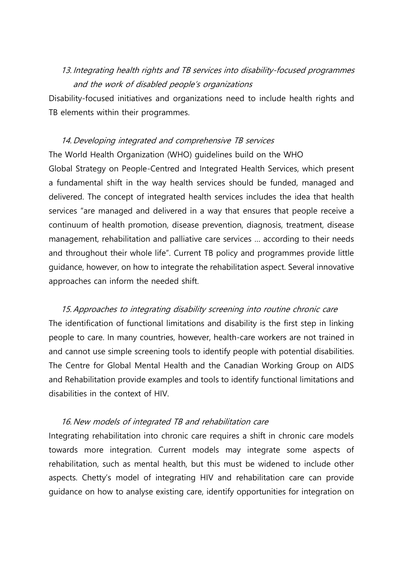### 13. Integrating health rights and TB services into disability-focused programmes and the work of disabled people's organizations

Disability-focused initiatives and organizations need to include health rights and TB elements within their programmes.

### 14. Developing integrated and comprehensive TB services

The World Health Organization (WHO) guidelines build on the WHO Global Strategy on People-Centred and Integrated Health Services, which present a fundamental shift in the way health services should be funded, managed and delivered. The concept of integrated health services includes the idea that health services "are managed and delivered in a way that ensures that people receive a continuum of health promotion, disease prevention, diagnosis, treatment, disease management, rehabilitation and palliative care services … according to their needs and throughout their whole life". Current TB policy and programmes provide little guidance, however, on how to integrate the rehabilitation aspect. Several innovative approaches can inform the needed shift.

15. Approaches to integrating disability screening into routine chronic care The identification of functional limitations and disability is the first step in linking people to care. In many countries, however, health-care workers are not trained in and cannot use simple screening tools to identify people with potential disabilities. The Centre for Global Mental Health and the Canadian Working Group on AIDS and Rehabilitation provide examples and tools to identify functional limitations and disabilities in the context of HIV.

### 16. New models of integrated TB and rehabilitation care

Integrating rehabilitation into chronic care requires a shift in chronic care models towards more integration. Current models may integrate some aspects of rehabilitation, such as mental health, but this must be widened to include other aspects. Chetty's model of integrating HIV and rehabilitation care can provide guidance on how to analyse existing care, identify opportunities for integration on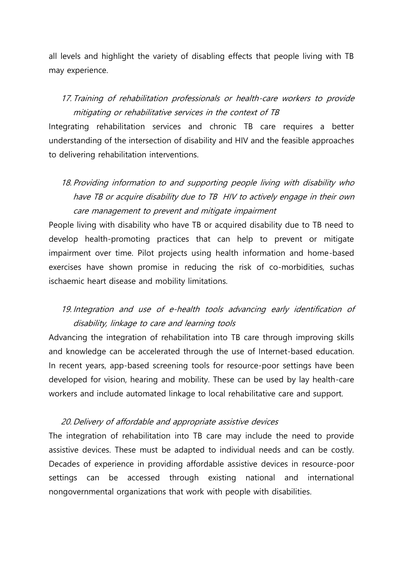all levels and highlight the variety of disabling effects that people living with TB may experience.

17. Training of rehabilitation professionals or health-care workers to provide mitigating or rehabilitative services in the context of TB

Integrating rehabilitation services and chronic TB care requires a better understanding of the intersection of disability and HIV and the feasible approaches to delivering rehabilitation interventions.

18. Providing information to and supporting people living with disability who have TB or acquire disability due to TB HIV to actively engage in their own care management to prevent and mitigate impairment

People living with disability who have TB or acquired disability due to TB need to develop health-promoting practices that can help to prevent or mitigate impairment over time. Pilot projects using health information and home-based exercises have shown promise in reducing the risk of co-morbidities, suchas ischaemic heart disease and mobility limitations.

### 19. Integration and use of e-health tools advancing early identification of disability, linkage to care and learning tools

Advancing the integration of rehabilitation into TB care through improving skills and knowledge can be accelerated through the use of Internet-based education. In recent years, app-based screening tools for resource-poor settings have been developed for vision, hearing and mobility. These can be used by lay health-care workers and include automated linkage to local rehabilitative care and support.

#### 20. Delivery of affordable and appropriate assistive devices

The integration of rehabilitation into TB care may include the need to provide assistive devices. These must be adapted to individual needs and can be costly. Decades of experience in providing affordable assistive devices in resource-poor settings can be accessed through existing national and international nongovernmental organizations that work with people with disabilities.